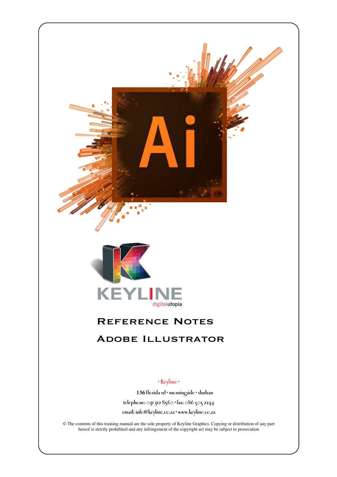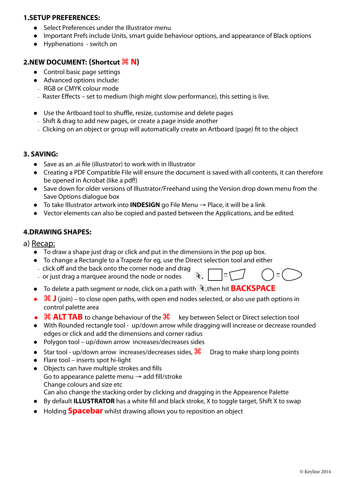#### **1.SETUP PREFERENCES:**

- Select Preferences under the Illustrator menu
- Important Prefs include Units, smart guide behaviour options, and appearance of Black options
- Hyphenations switch on

#### **2.NEW DOCUMENT: (Shortcut**  $\mathbb{R}$  **N)**

- Control basic page settings
- Advanced options include:
- RGB or CMYK colour mode
- Raster Effects set to medium (high might slow performance), this setting is live.
- Use the Artboard tool to shuffle, resize, customise and delete pages
- Shift & drag to add new pages, or create a page inside another
- Clicking on an object or group will automatically create an Artboard (page) fit to the object

#### **3. SAVING:**

- Save as an .ai file (illustrator) to work with in Illustrator
- Creating a PDF Compatible File will ensure the document is saved with all contents, it can therefore be opened in Acrobat (like a pdf!)
- Save down for older versions of Illustrator/Freehand using the Version drop down menu from the Save Options dialogue box
- To take Illustrator artwork into **INDESIGN** go File Menu → Place, it will be a link
- Vector elements can also be copied and pasted between the Applications, and be edited.

#### **4.DRAWING SHAPES:**

#### a) Recap:

- To draw a shape just drag or click and put in the dimensions in the pop up box.
- To change a Rectangle to a Trapeze for eg, use the Direct selection tool and either
- click off and the back onto the corner node and drag
- or just drag a marquee around the node or nodes

- To delete a path segment or node, click on a path with **R** then hit **BACKSPACE**
- **H** J (join) to close open paths, with open end nodes selected, or also use path options in control palette area
- **ALT TAB** to change behaviour of the  $\frac{12}{5}$  key between Select or Direct selection tool
- With Rounded rectangle tool up/down arrow while dragging will increase or decrease rounded edges or click and add the dimensions and corner radius
- Polygon tool up/down arrow increases/decreases sides
- Star tool up/down arrow increases/decreases sides,  $\frac{12}{10}$  Drag to make sharp long points
- Flare tool inserts spot hi-light
- Objects can have multiple strokes and fills Go to appearance palette menu  $\rightarrow$  add fill/stroke Change colours and size etc Can also change the stacking order by clicking and dragging in the Appearence Palette
- By default **ILLUSTRATOR** has a white fill and black stroke, X to toggle target, Shift X to swap
- Holding **Spacebar** whilst drawing allows you to reposition an object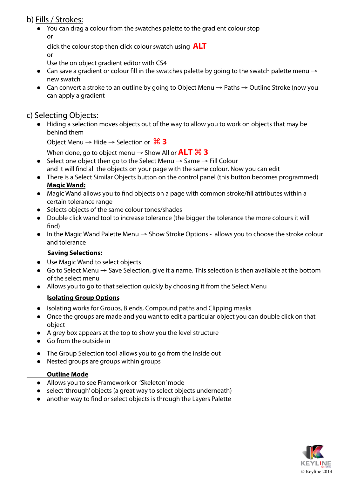## b) Fills / Strokes:

 You can drag a colour from the swatches palette to the gradient colour stop or

click the colour stop then click colour swatch using **ALT** or

Use the on object gradient editor with CS4

- Can save a gradient or colour fill in the swatches palette by going to the swatch palette menu  $\rightarrow$ new swatch
- Can convert a stroke to an outline by going to Object Menu → Paths → Outline Stroke (now you can apply a gradient

## c) Selecting Objects:

 Hiding a selection moves objects out of the way to allow you to work on objects that may be behind them

Object Menu  $\rightarrow$  Hide  $\rightarrow$  Selection or  $\frac{36}{10}$ 

When done, go to object menu  $\rightarrow$  Show All or **ALT**  $\mathbb{R}$  **3** 

- $\bullet$  Select one object then go to the Select Menu  $\rightarrow$  Same  $\rightarrow$  Fill Colour and it will find all the objects on your page with the same colour. Now you can edit
- There is a Select Similar Objects button on the control panel (this button becomes programmed) **Magic Wand:**
- Magic Wand allows you to find objects on a page with common stroke/fill attributes within a certain tolerance range
- Selects objects of the same colour tones/shades
- Double click wand tool to increase tolerance (the bigger the tolerance the more colours it will find)
- In the Magic Wand Palette Menu → Show Stroke Options allows you to choose the stroke colour and tolerance

#### **Saving Selections:**

- Use Magic Wand to select objects
- Go to Select Menu → Save Selection, give it a name. This selection is then available at the bottom of the select menu
- Allows you to go to that selection quickly by choosing it from the Select Menu

#### **Isolating Group Options**

- Isolating works for Groups, Blends, Compound paths and Clipping masks
- Once the groups are made and you want to edit a particular object you can double click on that object
- A grey box appears at the top to show you the level structure
- Go from the outside in
- The Group Selection tool allows you to go from the inside out
- Nested groups are groups within groups

#### **Outline Mode**

- Allows you to see Framework or 'Skeleton' mode
- select 'through' objects (a great way to select objects underneath)
- another way to find or select objects is through the Layers Palette

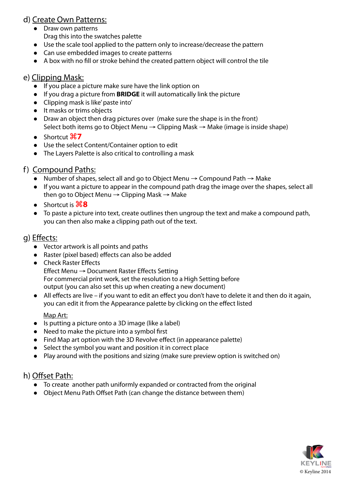## d) Create Own Patterns:

- Draw own patterns Drag this into the swatches palette
- Use the scale tool applied to the pattern only to increase/decrease the pattern
- Can use embedded images to create patterns
- A box with no fill or stroke behind the created pattern object will control the tile

## e) Clipping Mask:

- If you place a picture make sure have the link option on
- If you drag a picture from **BRIDGE** it will automatically link the picture
- Clipping mask is like' paste into'
- It masks or trims objects
- Draw an object then drag pictures over (make sure the shape is in the front) Select both items go to Object Menu  $\rightarrow$  Clipping Mask  $\rightarrow$  Make (image is inside shape)
- $\bullet$  Shortcut  $\text{\#}7$
- Use the select Content/Container option to edit
- The Layers Palette is also critical to controlling a mask

#### f) Compound Paths:

- Number of shapes, select all and go to Object Menu → Compound Path → Make
- If you want a picture to appear in the compound path drag the image over the shapes, select all then go to Object Menu  $\rightarrow$  Clipping Mask  $\rightarrow$  Make
- $\bullet$  Shortcut is  $\mathcal{H}$ **8**
- To paste a picture into text, create outlines then ungroup the text and make a compound path, you can then also make a clipping path out of the text.

### g) Effects:

- Vector artwork is all points and paths
- Raster (pixel based) effects can also be added
- Check Raster Effects Effect Menu → Document Raster Effects Setting For commercial print work, set the resolution to a High Setting before output (you can also set this up when creating a new document)
- All effects are live if you want to edit an effect you don't have to delete it and then do it again, you can edit it from the Appearance palette by clicking on the effect listed

Map Art:

- Is putting a picture onto a 3D image (like a label)
- Need to make the picture into a symbol first
- Find Map art option with the 3D Revolve effect (in appearance palette)
- Select the symbol you want and position it in correct place
- Play around with the positions and sizing (make sure preview option is switched on)

## h) Offset Path:

- To create another path uniformly expanded or contracted from the original
- Object Menu Path Offset Path (can change the distance between them)

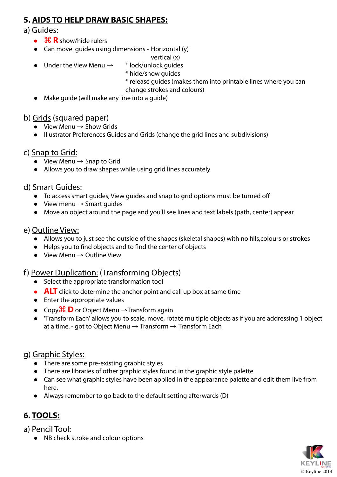# **5. AIDS TO HELP DRAW BASIC SHAPES:**

### a) Guides:

- $\bullet$   $\mathcal{H}$ **R** show/hide rulers
- Can move guides using dimensions Horizontal (y)
	- vertical (x)
- $\bullet$  Under the View Menu  $\rightarrow$  \* lock/unlock guides
	- \* hide/show guides
	- \* release guides (makes them into printable lines where you can
	- change strokes and colours)
- Make guide (will make any line into a guide)

### b) Grids (squared paper)

- $\bullet$  View Menu  $\rightarrow$  Show Grids
- Illustrator Preferences Guides and Grids (change the grid lines and subdivisions)

## c) Snap to Grid:

- $\bullet$  View Menu  $\rightarrow$  Snap to Grid
- Allows you to draw shapes while using grid lines accurately

## d) Smart Guides:

- To access smart guides, View guides and snap to grid options must be turned off
- $\bullet$  View menu  $\rightarrow$  Smart guides
- Move an object around the page and you'll see lines and text labels (path, center) appear

## e) Outline View:

- Allows you to just see the outside of the shapes (skeletal shapes) with no fills,colours or strokes
- Helps you to find objects and to find the center of objects
- $\bullet$  View Menu  $\rightarrow$  Outline View

# f) Power Duplication: (Transforming Objects)

- Select the appropriate transformation tool
- **ALT** click to determine the anchor point and call up box at same time
- Enter the appropriate values
- Copy $\mathcal{H}$  **D** or Object Menu  $\rightarrow$  Transform again
- 'Transform Each' allows you to scale, move, rotate multiple objects as if you are addressing 1 object at a time. - got to Object Menu → Transform → Transform Each

# g) Graphic Styles:

- There are some pre-existing graphic styles
- There are libraries of other graphic styles found in the graphic style palette
- Can see what graphic styles have been applied in the appearance palette and edit them live from here.
- Always remember to go back to the default setting afterwards (D)

# **6. TOOLS:**

- a) Pencil Tool:
	- NB check stroke and colour options

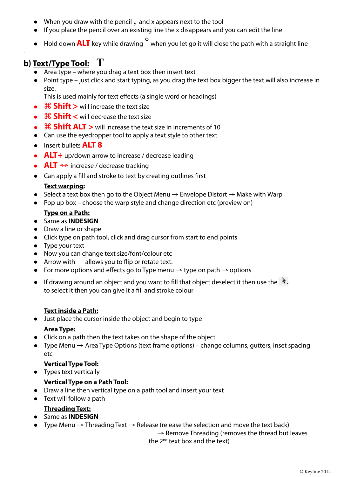- When you draw with the pencil , and x appears next to the tool
- If you place the pencil over an existing line the x disappears and you can edit the line
- $\bullet$  Hold down  $\mathsf{ALT}$  key while drawing  $^\mathsf{O}$  when you let go it will close the path with a straight line

# **b) Text/Type Tool: T**

.

- Area type where you drag a text box then insert text
- Point type just click and start typing, as you drag the text box bigger the text will also increase in size.

This is used mainly for text effects (a single word or headings)

- **H Shift >** will increase the text size
- **He Shift <** will decrease the text size
- **B Shift ALT** > will increase the text size in increments of 10
- Can use the eyedropper tool to apply a text style to other text
- **•** Insert bullets **ALT 8**
- **ALT**+ up/down arrow to increase / decrease leading
- $\bullet$  **ALT**  $\leftrightarrow$  increase / decrease tracking
- Can apply a fill and stroke to text by creating outlines first

#### **Text warping:**

- Select a text box then go to the Object Menu → Envelope Distort → Make with Warp
- Pop up box choose the warp style and change direction etc (preview on)

#### **Type on a Path:**

- Same as **INDESIGN**
- Draw a line or shape
- Click type on path tool, click and drag cursor from start to end points
- Type your text
- Now you can change text size/font/colour etc
- Arrow with allows you to flip or rotate text.
- For more options and effects go to Type menu  $\rightarrow$  type on path  $\rightarrow$  options
- If drawing around an object and you want to fill that object deselect it then use the to select it then you can give it a fill and stroke colour

#### **Text inside a Path:**

Just place the cursor inside the object and begin to type

#### **Area Type:**

- Click on a path then the text takes on the shape of the object
- Type Menu → Area Type Options (text frame options) change columns, gutters, inset spacing etc

#### **Vertical Type Tool:**

• Types text vertically

#### **Vertical Type on a Path Tool:**

- Draw a line then vertical type on a path tool and insert your text
- Text will follow a path

#### **Threading Text:**

- Same as **INDESIGN**
- Type Menu  $\rightarrow$  Threading Text  $\rightarrow$  Release (release the selection and move the text back)

 $\rightarrow$  Remove Threading (removes the thread but leaves

the  $2^{nd}$  text box and the text)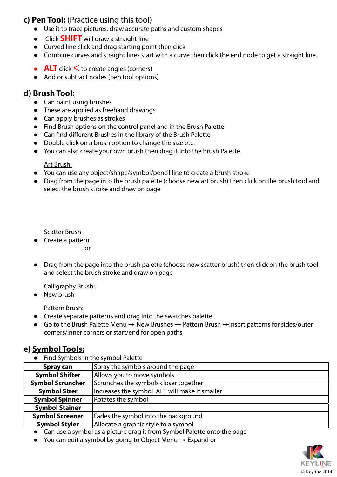# **c) Pen Tool:** (Practice using this tool)

- Use it to trace pictures, draw accurate paths and custom shapes
- **•** Click **SHIFT** will draw a straight line
- Curved line click and drag starting point then click
- Combine curves and straight lines start with a curve then click the end node to get a straight line.
- **ALT** click  $\leq$  to create angles (corners)
- Add or subtract nodes (pen tool options)

# **d) Brush Tool:**

- Can paint using brushes
- These are applied as freehand drawings
- Can apply brushes as strokes
- Find Brush options on the control panel and in the Brush Palette
- Can find different Brushes in the library of the Brush Palette
- Double click on a brush option to change the size etc.
- You can also create your own brush then drag it into the Brush Palette

#### Art Brush:

- You can use any object/shape/symbol/pencil line to create a brush stroke
- Drag from the page into the brush palette (choose new art brush) then click on the brush tool and select the brush stroke and draw on page

#### Scatter Brush

- Create a pattern or
- Drag from the page into the brush palette (choose new scatter brush) then click on the brush tool and select the brush stroke and draw on page

#### Calligraphy Brush:

• New brush

Pattern Brush:

- Create separate patterns and drag into the swatches palette
- Go to the Brush Palette Menu → New Brushes → Pattern Brush →Insert patterns for sides/outer corners/inner corners or start/end for open paths

#### **e) Symbol Tools:**

• Find Symbols in the symbol Palette

| Spray can               | Spray the symbols around the page                                                                                                                                                                                                     |  |
|-------------------------|---------------------------------------------------------------------------------------------------------------------------------------------------------------------------------------------------------------------------------------|--|
| <b>Symbol Shifter</b>   | Allows you to move symbols                                                                                                                                                                                                            |  |
| <b>Symbol Scruncher</b> | Scrunches the symbols closer together                                                                                                                                                                                                 |  |
| <b>Symbol Sizer</b>     | Increases the symbol. ALT will make it smaller                                                                                                                                                                                        |  |
| <b>Symbol Spinner</b>   | Rotates the symbol                                                                                                                                                                                                                    |  |
| <b>Symbol Stainer</b>   |                                                                                                                                                                                                                                       |  |
| <b>Symbol Screener</b>  | Fades the symbol into the background                                                                                                                                                                                                  |  |
| <b>Symbol Styler</b>    | Allocate a graphic style to a symbol                                                                                                                                                                                                  |  |
|                         | $\mathbf{A}$ and $\mathbf{A}$ are the contract of the contract of the contract of the contract of the contract of the contract of the contract of the contract of the contract of the contract of the contract of the contract of the |  |

- Can use a symbol as a picture drag it from Symbol Palette onto the page
- You can edit a symbol by going to Object Menu → Expand or

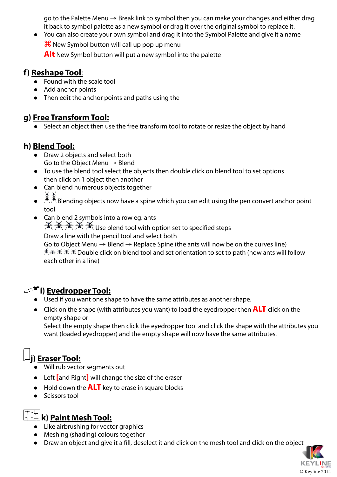go to the Palette Menu → Break link to symbol then you can make your changes and either drag it back to symbol palette as a new symbol or drag it over the original symbol to replace it.

You can also create your own symbol and drag it into the Symbol Palette and give it a name

 $\frac{1}{26}$  New Symbol button will call up pop up menu

**Alt** New Symbol button will put a new symbol into the palette

## **f) Reshape Tool**:

- Found with the scale tool
- Add anchor points
- Then edit the anchor points and paths using the

# **g) Free Transform Tool:**

• Select an object then use the free transform tool to rotate or resize the object by hand

# **h) Blend Tool:**

- Draw 2 objects and select both Go to the Object Menu  $\rightarrow$  Blend
- To use the blend tool select the objects then double click on blend tool to set options then click on 1 object then another
- Can blend numerous objects together
- Blending objects now have a spine which you can edit using the pen convert anchor point tool
- Can blend 2 symbols into a row eg. ants  $\mathbf{X} \mathbf{X} \mathbf{X} \mathbf{X}$  Use blend tool with option set to specified steps Draw a line with the pencil tool and select both Go to Object Menu  $\rightarrow$  Blend  $\rightarrow$  Replace Spine (the ants will now be on the curves line) 米米米米Double click on blend tool and set orientation to set to path (now ants will follow each other in a line)

# **i) Eyedropper Tool:**

- Used if you want one shape to have the same attributes as another shape.
- Click on the shape (with attributes you want) to load the eyedropper then **ALT** click on the empty shape or

Select the empty shape then click the eyedropper tool and click the shape with the attributes you want (loaded eyedropper) and the empty shape will now have the same attributes.

# **j) Eraser Tool:**

- Will rub vector segments out
- Left **[**and Right**]** will change the size of the eraser
- Hold down the **ALT** key to erase in square blocks
- Scissors tool

# **k) Paint Mesh Tool:**

- Like airbrushing for vector graphics
- Meshing (shading) colours together
- Draw an object and give it a fill, deselect it and click on the mesh tool and click on the object

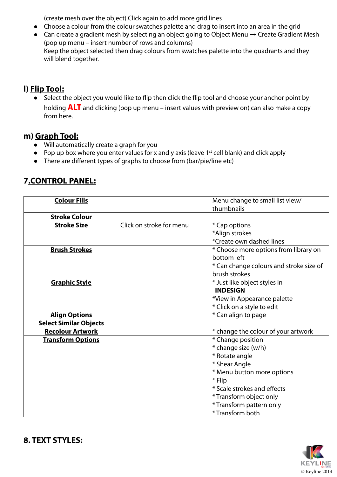(create mesh over the object) Click again to add more grid lines

- Choose a colour from the colour swatches palette and drag to insert into an area in the grid
- Can create a gradient mesh by selecting an object going to Object Menu → Create Gradient Mesh (pop up menu – insert number of rows and columns) Keep the object selected then drag colours from swatches palette into the quadrants and they

# **l) Flip Tool:**

will blend together.

• Select the object you would like to flip then click the flip tool and choose your anchor point by holding **ALT** and clicking (pop up menu – insert values with preview on) can also make a copy from here.

## **m) Graph Tool:**

- Will automatically create a graph for you
- Pop up box where you enter values for x and y axis (leave  $1<sup>st</sup>$  cell blank) and click apply
- There are different types of graphs to choose from (bar/pie/line etc)

# **7.CONTROL PANEL:**

| <b>Colour Fills</b>           |                          | Menu change to small list view/         |
|-------------------------------|--------------------------|-----------------------------------------|
|                               |                          | thumbnails                              |
| <b>Stroke Colour</b>          |                          |                                         |
| <b>Stroke Size</b>            | Click on stroke for menu | * Cap options                           |
|                               |                          | *Align strokes                          |
|                               |                          | *Create own dashed lines                |
| <b>Brush Strokes</b>          |                          | * Choose more options from library on   |
|                               |                          | bottom left                             |
|                               |                          | * Can change colours and stroke size of |
|                               |                          | brush strokes                           |
| <b>Graphic Style</b>          |                          | * Just like object styles in            |
|                               |                          | <b>INDESIGN</b>                         |
|                               |                          | *View in Appearance palette             |
|                               |                          | * Click on a style to edit              |
| <b>Align Options</b>          |                          | * Can align to page                     |
| <b>Select Similar Objects</b> |                          |                                         |
| <b>Recolour Artwork</b>       |                          | * change the colour of your artwork     |
| <b>Transform Options</b>      |                          | * Change position                       |
|                               |                          | * change size (w/h)                     |
|                               |                          | * Rotate angle                          |
|                               |                          | * Shear Angle                           |
|                               |                          | * Menu button more options              |
|                               |                          | * Flip                                  |
|                               |                          | * Scale strokes and effects             |
|                               |                          | * Transform object only                 |
|                               |                          | * Transform pattern only                |
|                               |                          | *Transform both                         |



## **8. TEXT STYLES:**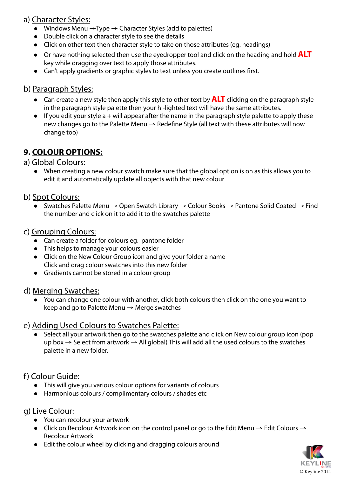## a) Character Styles:

- Windows Menu →Type → Character Styles (add to palettes)
- Double click on a character style to see the details
- Click on other text then character style to take on those attributes (eg. headings)
- Or have nothing selected then use the eyedropper tool and click on the heading and hold **ALT** key while dragging over text to apply those attributes.
- Can't apply gradients or graphic styles to text unless you create outlines first.

## b) Paragraph Styles:

- Can create a new style then apply this style to other text by **ALT** clicking on the paragraph style in the paragraph style palette then your hi-lighted text will have the same attributes.
- $\bullet$  If you edit your style a + will appear after the name in the paragraph style palette to apply these new changes go to the Palette Menu  $\rightarrow$  Redefine Style (all text with these attributes will now change too)

# **9. COLOUR OPTIONS:**

#### a) Global Colours:

 When creating a new colour swatch make sure that the global option is on as this allows you to edit it and automatically update all objects with that new colour

## b) Spot Colours:

 Swatches Palette Menu → Open Swatch Library → Colour Books → Pantone Solid Coated → Find the number and click on it to add it to the swatches palette

#### c) Grouping Colours:

- Can create a folder for colours eg. pantone folder
- This helps to manage your colours easier
- Click on the New Colour Group icon and give your folder a name Click and drag colour swatches into this new folder
- Gradients cannot be stored in a colour group

#### d) Merging Swatches:

 You can change one colour with another, click both colours then click on the one you want to keep and go to Palette Menu  $\rightarrow$  Merge swatches

#### e) Adding Used Colours to Swatches Palette:

 Select all your artwork then go to the swatches palette and click on New colour group icon (pop up box  $\rightarrow$  Select from artwork  $\rightarrow$  All global) This will add all the used colours to the swatches palette in a new folder.

#### f) Colour Guide:

- This will give you various colour options for variants of colours
- Harmonious colours / complimentary colours / shades etc

#### g) Live Colour:

- You can recolour your artwork
- Click on Recolour Artwork icon on the control panel or go to the Edit Menu  $\rightarrow$  Edit Colours  $\rightarrow$ Recolour Artwork
- Edit the colour wheel by clicking and dragging colours around

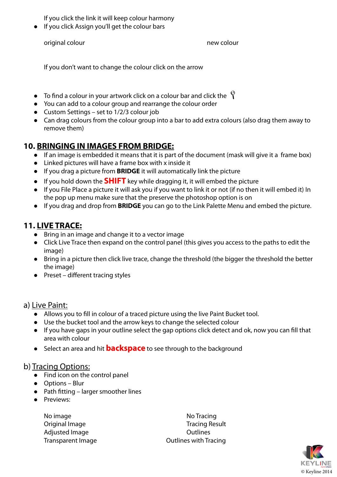If you click the link it will keep colour harmony

If you click Assign you'll get the colour bars

original colour new colour

If you don't want to change the colour click on the arrow

- To find a colour in your artwork click on a colour bar and click the  $\sqrt[12]{\ }$
- You can add to a colour group and rearrange the colour order
- Custom Settings set to 1/2/3 colour job
- Can drag colours from the colour group into a bar to add extra colours (also drag them away to remove them)

# **10. BRINGING IN IMAGES FROM BRIDGE:**

- If an image is embedded it means that it is part of the document (mask will give it a frame box)
- Linked pictures will have a frame box with x inside it
- If you drag a picture from **BRIDGE** it will automatically link the picture
- If you hold down the **SHIFT** key while dragging it, it will embed the picture
- If you File Place a picture it will ask you if you want to link it or not (if no then it will embed it) In the pop up menu make sure that the preserve the photoshop option is on
- If you drag and drop from **BRIDGE** you can go to the Link Palette Menu and embed the picture.

# **11. LIVE TRACE:**

- Bring in an image and change it to a vector image
- Click Live Trace then expand on the control panel (this gives you access to the paths to edit the image)
- Bring in a picture then click live trace, change the threshold (the bigger the threshold the better the image)
- $\bullet$  Preset different tracing styles

#### a) Live Paint:

- Allows you to fill in colour of a traced picture using the live Paint Bucket tool.
- Use the bucket tool and the arrow keys to change the selected colour
- If you have gaps in your outline select the gap options click detect and ok, now you can fill that area with colour
- **•** Select an area and hit **backspace** to see through to the background

#### b) Tracing Options:

- Find icon on the control panel
- Options Blur
- Path fitting larger smoother lines
- Previews:

No image **No Tracing** No Tracing Adjusted Image **Department Contains Adjusted** Image

Original Image Tracing Result Transparent Image **Contact Contact Contact Contact Contact Contact Contact Contact Contact Contact Contact Contact Contact Contact Contact Contact Contact Contact Contact Contact Contact Contact Contact Contact Contact Con** 

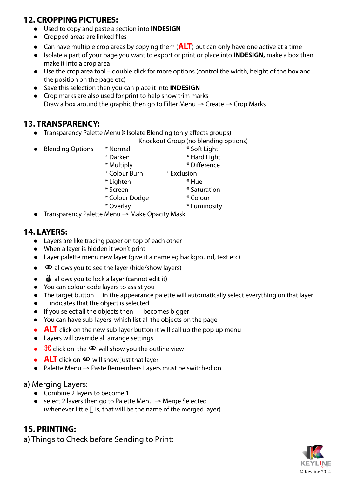# **12. CROPPING PICTURES:**

- Used to copy and paste a section into **INDESIGN**
- Cropped areas are linked files
- Can have multiple crop areas by copying them (**ALT**) but can only have one active at a time
- Isolate a part of your page you want to export or print or place into **INDESIGN,** make a box then make it into a crop area
- Use the crop area tool double click for more options (control the width, height of the box and the position on the page etc)
- Save this selection then you can place it into **INDESIGN**
- Crop marks are also used for print to help show trim marks Draw a box around the graphic then go to Filter Menu  $\rightarrow$  Create  $\rightarrow$  Crop Marks

# **13. TRANSPARENCY:**

• Transparency Palette Menu Isolate Blending (only affects groups)

Knockout Group (no blending options)

- Blending Options \* Normal \* \* Soft Light
	-
	- \* Darken \* Hard Light
	- \* Multiply \* Difference
	- \* Colour Burn \* Exclusion
	- \* Lighten \* Hue
	- \* Screen \* Saturation
	- \* Colour Dodge \* Colour
		-
	- \* Overlay \* Luminosity
- Transparency Palette Menu → Make Opacity Mask

## **14. LAYERS:**

- Layers are like tracing paper on top of each other
- When a layer is hidden it won't print
- Layer palette menu new layer (give it a name eg background, text etc)
- $\bullet$   $\bullet$  allows you to see the layer (hide/show layers)
- $\bullet$   $\bullet$  allows you to lock a layer (cannot edit it)
- You can colour code layers to assist you
- The target button in the appearance palette will automatically select everything on that layer
- indicates that the object is selected
- If you select all the objects then becomes bigger
- You can have sub-layers which list all the objects on the page
- **ALT** click on the new sub-layer button it will call up the pop up menu
- Layers will override all arrange settings
- $\bullet$   $\bullet$   $\bullet$  click on the  $\bullet$  will show you the outline view
- **ALT** click on  $\bullet$  will show just that layer
- Palette Menu → Paste Remembers Layers must be switched on

#### a) Merging Layers:

- Combine 2 layers to become 1
- select 2 layers then go to Palette Menu → Merge Selected (whenever little  $\prod$  is, that will be the name of the merged layer)

## **15. PRINTING:**

a) Things to Check before Sending to Print: